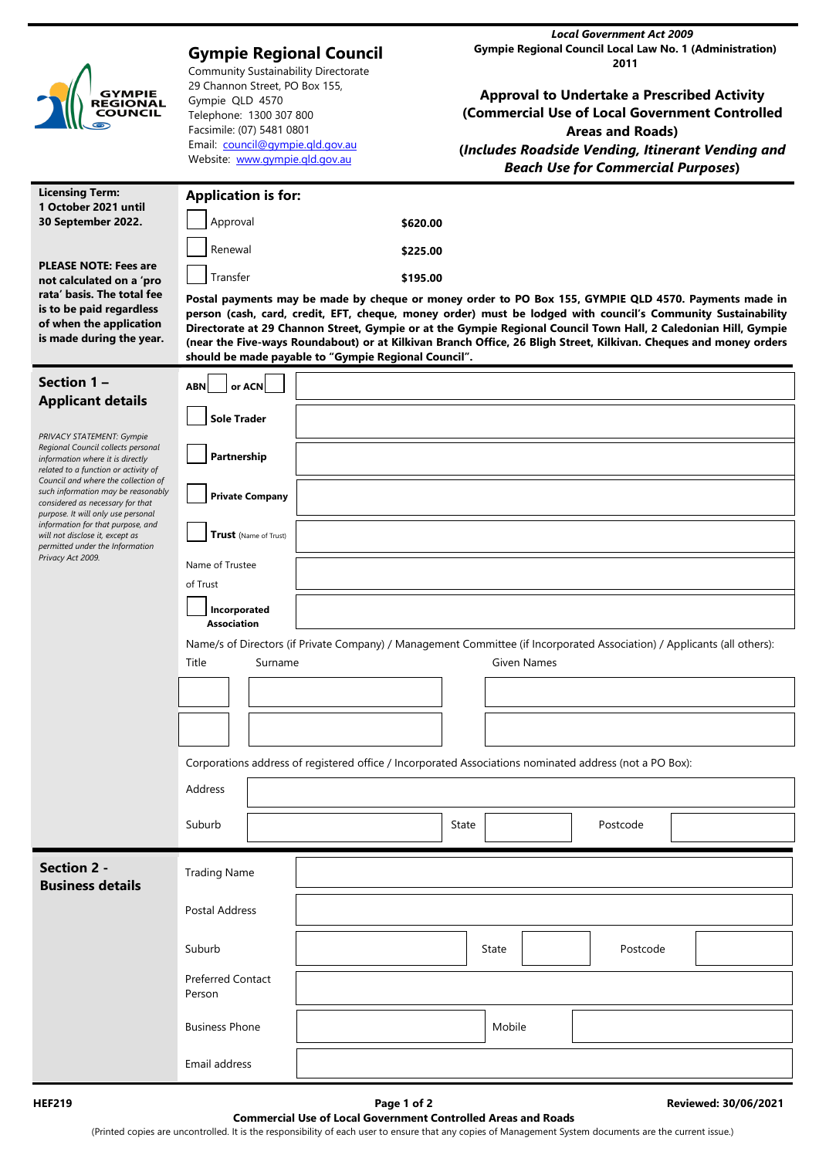| <b>GYMPIE</b><br>REGIONAL<br>COUNCIL                                                                                                                                                                                                                                                                                                                                                                          | <b>Gympie Regional Council</b><br><b>Community Sustainability Directorate</b><br>29 Channon Street, PO Box 155,<br>Gympie QLD 4570<br>Telephone: 1300 307 800<br>Facsimile: (07) 5481 0801<br>Email: council@gympie.qld.gov.au<br>Website: www.gympie.gld.gov.au |                                                                                                                                                                                                                                                                                                                                                                                                                                                                                                                       | <b>Local Government Act 2009</b><br><b>Gympie Regional Council Local Law No. 1 (Administration)</b><br>2011<br><b>Approval to Undertake a Prescribed Activity</b><br>(Commercial Use of Local Government Controlled<br><b>Areas and Roads)</b><br>(Includes Roadside Vending, Itinerant Vending and<br><b>Beach Use for Commercial Purposes)</b> |  |  |  |  |  |  |
|---------------------------------------------------------------------------------------------------------------------------------------------------------------------------------------------------------------------------------------------------------------------------------------------------------------------------------------------------------------------------------------------------------------|------------------------------------------------------------------------------------------------------------------------------------------------------------------------------------------------------------------------------------------------------------------|-----------------------------------------------------------------------------------------------------------------------------------------------------------------------------------------------------------------------------------------------------------------------------------------------------------------------------------------------------------------------------------------------------------------------------------------------------------------------------------------------------------------------|--------------------------------------------------------------------------------------------------------------------------------------------------------------------------------------------------------------------------------------------------------------------------------------------------------------------------------------------------|--|--|--|--|--|--|
| <b>Licensing Term:</b><br>1 October 2021 until                                                                                                                                                                                                                                                                                                                                                                | <b>Application is for:</b>                                                                                                                                                                                                                                       |                                                                                                                                                                                                                                                                                                                                                                                                                                                                                                                       |                                                                                                                                                                                                                                                                                                                                                  |  |  |  |  |  |  |
| 30 September 2022.                                                                                                                                                                                                                                                                                                                                                                                            | Approval                                                                                                                                                                                                                                                         | \$620.00                                                                                                                                                                                                                                                                                                                                                                                                                                                                                                              |                                                                                                                                                                                                                                                                                                                                                  |  |  |  |  |  |  |
| <b>PLEASE NOTE: Fees are</b>                                                                                                                                                                                                                                                                                                                                                                                  | Renewal                                                                                                                                                                                                                                                          | \$225.00                                                                                                                                                                                                                                                                                                                                                                                                                                                                                                              |                                                                                                                                                                                                                                                                                                                                                  |  |  |  |  |  |  |
| not calculated on a 'pro                                                                                                                                                                                                                                                                                                                                                                                      | Transfer                                                                                                                                                                                                                                                         | \$195.00                                                                                                                                                                                                                                                                                                                                                                                                                                                                                                              |                                                                                                                                                                                                                                                                                                                                                  |  |  |  |  |  |  |
| rata' basis. The total fee<br>is to be paid regardless<br>of when the application<br>is made during the year.                                                                                                                                                                                                                                                                                                 |                                                                                                                                                                                                                                                                  | Postal payments may be made by cheque or money order to PO Box 155, GYMPIE QLD 4570. Payments made in<br>person (cash, card, credit, EFT, cheque, money order) must be lodged with council's Community Sustainability<br>Directorate at 29 Channon Street, Gympie or at the Gympie Regional Council Town Hall, 2 Caledonian Hill, Gympie<br>(near the Five-ways Roundabout) or at Kilkivan Branch Office, 26 Bligh Street, Kilkivan. Cheques and money orders<br>should be made payable to "Gympie Regional Council". |                                                                                                                                                                                                                                                                                                                                                  |  |  |  |  |  |  |
| Section 1-                                                                                                                                                                                                                                                                                                                                                                                                    | or ACN<br><b>ABN</b>                                                                                                                                                                                                                                             |                                                                                                                                                                                                                                                                                                                                                                                                                                                                                                                       |                                                                                                                                                                                                                                                                                                                                                  |  |  |  |  |  |  |
| <b>Applicant details</b>                                                                                                                                                                                                                                                                                                                                                                                      | <b>Sole Trader</b>                                                                                                                                                                                                                                               |                                                                                                                                                                                                                                                                                                                                                                                                                                                                                                                       |                                                                                                                                                                                                                                                                                                                                                  |  |  |  |  |  |  |
| PRIVACY STATEMENT: Gympie<br>Regional Council collects personal<br>information where it is directly<br>related to a function or activity of<br>Council and where the collection of<br>such information may be reasonably<br>considered as necessary for that<br>purpose. It will only use personal<br>information for that purpose, and<br>will not disclose it, except as<br>permitted under the Information | Partnership                                                                                                                                                                                                                                                      |                                                                                                                                                                                                                                                                                                                                                                                                                                                                                                                       |                                                                                                                                                                                                                                                                                                                                                  |  |  |  |  |  |  |
|                                                                                                                                                                                                                                                                                                                                                                                                               | <b>Private Company</b>                                                                                                                                                                                                                                           |                                                                                                                                                                                                                                                                                                                                                                                                                                                                                                                       |                                                                                                                                                                                                                                                                                                                                                  |  |  |  |  |  |  |
|                                                                                                                                                                                                                                                                                                                                                                                                               | Trust (Name of Trust)                                                                                                                                                                                                                                            |                                                                                                                                                                                                                                                                                                                                                                                                                                                                                                                       |                                                                                                                                                                                                                                                                                                                                                  |  |  |  |  |  |  |
| Privacy Act 2009.                                                                                                                                                                                                                                                                                                                                                                                             | Name of Trustee<br>of Trust                                                                                                                                                                                                                                      |                                                                                                                                                                                                                                                                                                                                                                                                                                                                                                                       |                                                                                                                                                                                                                                                                                                                                                  |  |  |  |  |  |  |
|                                                                                                                                                                                                                                                                                                                                                                                                               | Incorporated<br><b>Association</b>                                                                                                                                                                                                                               |                                                                                                                                                                                                                                                                                                                                                                                                                                                                                                                       |                                                                                                                                                                                                                                                                                                                                                  |  |  |  |  |  |  |
|                                                                                                                                                                                                                                                                                                                                                                                                               | Name/s of Directors (if Private Company) / Management Committee (if Incorporated Association) / Applicants (all others):<br>Title<br>Given Names<br>Surname                                                                                                      |                                                                                                                                                                                                                                                                                                                                                                                                                                                                                                                       |                                                                                                                                                                                                                                                                                                                                                  |  |  |  |  |  |  |
|                                                                                                                                                                                                                                                                                                                                                                                                               |                                                                                                                                                                                                                                                                  |                                                                                                                                                                                                                                                                                                                                                                                                                                                                                                                       |                                                                                                                                                                                                                                                                                                                                                  |  |  |  |  |  |  |
|                                                                                                                                                                                                                                                                                                                                                                                                               |                                                                                                                                                                                                                                                                  |                                                                                                                                                                                                                                                                                                                                                                                                                                                                                                                       |                                                                                                                                                                                                                                                                                                                                                  |  |  |  |  |  |  |
|                                                                                                                                                                                                                                                                                                                                                                                                               | Corporations address of registered office / Incorporated Associations nominated address (not a PO Box):                                                                                                                                                          |                                                                                                                                                                                                                                                                                                                                                                                                                                                                                                                       |                                                                                                                                                                                                                                                                                                                                                  |  |  |  |  |  |  |
|                                                                                                                                                                                                                                                                                                                                                                                                               | Address                                                                                                                                                                                                                                                          |                                                                                                                                                                                                                                                                                                                                                                                                                                                                                                                       |                                                                                                                                                                                                                                                                                                                                                  |  |  |  |  |  |  |
|                                                                                                                                                                                                                                                                                                                                                                                                               | Suburb                                                                                                                                                                                                                                                           |                                                                                                                                                                                                                                                                                                                                                                                                                                                                                                                       | Postcode<br>State                                                                                                                                                                                                                                                                                                                                |  |  |  |  |  |  |
| <b>Section 2 -</b>                                                                                                                                                                                                                                                                                                                                                                                            | <b>Trading Name</b>                                                                                                                                                                                                                                              |                                                                                                                                                                                                                                                                                                                                                                                                                                                                                                                       |                                                                                                                                                                                                                                                                                                                                                  |  |  |  |  |  |  |
| <b>Business details</b>                                                                                                                                                                                                                                                                                                                                                                                       |                                                                                                                                                                                                                                                                  |                                                                                                                                                                                                                                                                                                                                                                                                                                                                                                                       |                                                                                                                                                                                                                                                                                                                                                  |  |  |  |  |  |  |
|                                                                                                                                                                                                                                                                                                                                                                                                               | Postal Address                                                                                                                                                                                                                                                   |                                                                                                                                                                                                                                                                                                                                                                                                                                                                                                                       |                                                                                                                                                                                                                                                                                                                                                  |  |  |  |  |  |  |
|                                                                                                                                                                                                                                                                                                                                                                                                               | Suburb                                                                                                                                                                                                                                                           |                                                                                                                                                                                                                                                                                                                                                                                                                                                                                                                       | Postcode<br>State                                                                                                                                                                                                                                                                                                                                |  |  |  |  |  |  |
|                                                                                                                                                                                                                                                                                                                                                                                                               | <b>Preferred Contact</b><br>Person                                                                                                                                                                                                                               |                                                                                                                                                                                                                                                                                                                                                                                                                                                                                                                       |                                                                                                                                                                                                                                                                                                                                                  |  |  |  |  |  |  |
|                                                                                                                                                                                                                                                                                                                                                                                                               | <b>Business Phone</b>                                                                                                                                                                                                                                            |                                                                                                                                                                                                                                                                                                                                                                                                                                                                                                                       | Mobile                                                                                                                                                                                                                                                                                                                                           |  |  |  |  |  |  |
|                                                                                                                                                                                                                                                                                                                                                                                                               | Email address                                                                                                                                                                                                                                                    |                                                                                                                                                                                                                                                                                                                                                                                                                                                                                                                       |                                                                                                                                                                                                                                                                                                                                                  |  |  |  |  |  |  |

(Printed copies are uncontrolled. It is the responsibility of each user to ensure that any copies of Management System documents are the current issue.)